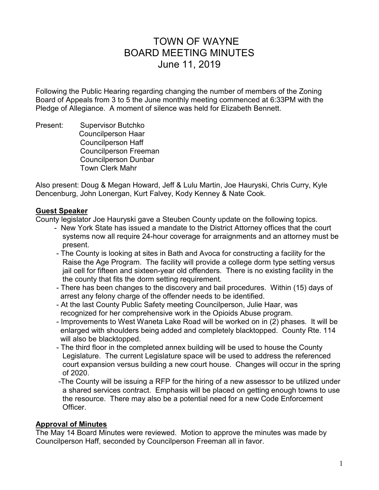# TOWN OF WAYNE BOARD MEETING MINUTES June 11, 2019

Following the Public Hearing regarding changing the number of members of the Zoning Board of Appeals from 3 to 5 the June monthly meeting commenced at 6:33PM with the Pledge of Allegiance. A moment of silence was held for Elizabeth Bennett.

Present: Supervisor Butchko Councilperson Haar Councilperson Haff Councilperson Freeman Councilperson Dunbar Town Clerk Mahr

Also present: Doug & Megan Howard, Jeff & Lulu Martin, Joe Hauryski, Chris Curry, Kyle Dencenburg, John Lonergan, Kurt Falvey, Kody Kenney & Nate Cook.

### **Guest Speaker**

County legislator Joe Hauryski gave a Steuben County update on the following topics.

- New York State has issued a mandate to the District Attorney offices that the court systems now all require 24-hour coverage for arraignments and an attorney must be present.
- The County is looking at sites in Bath and Avoca for constructing a facility for the Raise the Age Program. The facility will provide a college dorm type setting versus jail cell for fifteen and sixteen-year old offenders. There is no existing facility in the the county that fits the dorm setting requirement.
- There has been changes to the discovery and bail procedures. Within (15) days of arrest any felony charge of the offender needs to be identified.
- At the last County Public Safety meeting Councilperson, Julie Haar, was recognized for her comprehensive work in the Opioids Abuse program.
- Improvements to West Waneta Lake Road will be worked on in (2) phases. It will be enlarged with shoulders being added and completely blacktopped. County Rte. 114 will also be blacktopped.
- The third floor in the completed annex building will be used to house the County Legislature. The current Legislature space will be used to address the referenced court expansion versus building a new court house. Changes will occur in the spring of 2020.
- -The County will be issuing a RFP for the hiring of a new assessor to be utilized under a shared services contract. Emphasis will be placed on getting enough towns to use the resource. There may also be a potential need for a new Code Enforcement Officer.

#### **Approval of Minutes**

The May 14 Board Minutes were reviewed. Motion to approve the minutes was made by Councilperson Haff, seconded by Councilperson Freeman all in favor.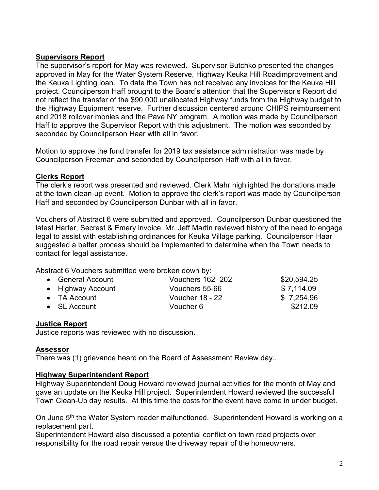### **Supervisors Report**

The supervisor's report for May was reviewed. Supervisor Butchko presented the changes approved in May for the Water System Reserve, Highway Keuka Hill Roadimprovement and the Keuka Lighting loan. To date the Town has not received any invoices for the Keuka Hill project. Councilperson Haff brought to the Board's attention that the Supervisor's Report did not reflect the transfer of the \$90,000 unallocated Highway funds from the Highway budget to the Highway Equipment reserve. Further discussion centered around CHIPS reimbursement and 2018 rollover monies and the Pave NY program. A motion was made by Councilperson Haff to approve the Supervisor Report with this adjustment. The motion was seconded by seconded by Councilperson Haar with all in favor.

Motion to approve the fund transfer for 2019 tax assistance administration was made by Councilperson Freeman and seconded by Councilperson Haff with all in favor.

### **Clerks Report**

The clerk's report was presented and reviewed. Clerk Mahr highlighted the donations made at the town clean-up event. Motion to approve the clerk's report was made by Councilperson Haff and seconded by Councilperson Dunbar with all in favor.

Vouchers of Abstract 6 were submitted and approved. Councilperson Dunbar questioned the latest Harter, Secrest & Emery invoice. Mr. Jeff Martin reviewed history of the need to engage legal to assist with establishing ordinances for Keuka Village parking. Councilperson Haar suggested a better process should be implemented to determine when the Town needs to contact for legal assistance.

Abstract 6 Vouchers submitted were broken down by:

| • General Account    | <b>Vouchers 162 -202</b> | \$20,594.25 |
|----------------------|--------------------------|-------------|
| • Highway Account    | Vouchers 55-66           | \$7.114.09  |
| $\bullet$ TA Account | <b>Voucher 18 - 22</b>   | \$7,254.96  |
| $\bullet$ SL Account | Voucher 6                | \$212.09    |

### **Justice Report**

Justice reports was reviewed with no discussion.

#### **Assessor**

There was (1) grievance heard on the Board of Assessment Review day..

#### **Highway Superintendent Report**

Highway Superintendent Doug Howard reviewed journal activities for the month of May and gave an update on the Keuka Hill project. Superintendent Howard reviewed the successful Town Clean-Up day results. At this time the costs for the event have come in under budget.

On June 5<sup>th</sup> the Water System reader malfunctioned. Superintendent Howard is working on a replacement part.

Superintendent Howard also discussed a potential conflict on town road projects over responsibility for the road repair versus the driveway repair of the homeowners.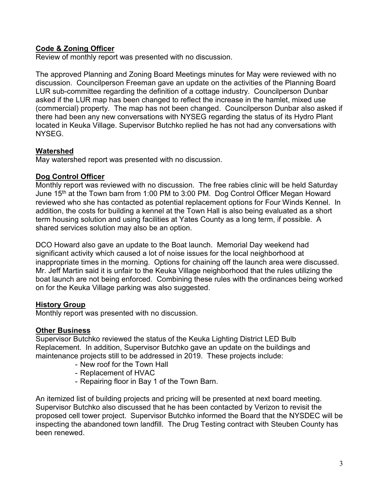# **Code & Zoning Officer**

Review of monthly report was presented with no discussion.

The approved Planning and Zoning Board Meetings minutes for May were reviewed with no discussion. Councilperson Freeman gave an update on the activities of the Planning Board LUR sub-committee regarding the definition of a cottage industry. Councilperson Dunbar asked if the LUR map has been changed to reflect the increase in the hamlet, mixed use (commercial) property. The map has not been changed. Councilperson Dunbar also asked if there had been any new conversations with NYSEG regarding the status of its Hydro Plant located in Keuka Village. Supervisor Butchko replied he has not had any conversations with NYSEG.

### **Watershed**

May watershed report was presented with no discussion.

## **Dog Control Officer**

Monthly report was reviewed with no discussion. The free rabies clinic will be held Saturday June 15<sup>th</sup> at the Town barn from 1:00 PM to 3:00 PM. Dog Control Officer Megan Howard reviewed who she has contacted as potential replacement options for Four Winds Kennel. In addition, the costs for building a kennel at the Town Hall is also being evaluated as a short term housing solution and using facilities at Yates County as a long term, if possible. A shared services solution may also be an option.

DCO Howard also gave an update to the Boat launch. Memorial Day weekend had significant activity which caused a lot of noise issues for the local neighborhood at inappropriate times in the morning. Options for chaining off the launch area were discussed. Mr. Jeff Martin said it is unfair to the Keuka Village neighborhood that the rules utilizing the boat launch are not being enforced. Combining these rules with the ordinances being worked on for the Keuka Village parking was also suggested.

# **History Group**

Monthly report was presented with no discussion.

### **Other Business**

Supervisor Butchko reviewed the status of the Keuka Lighting District LED Bulb Replacement. In addition, Supervisor Butchko gave an update on the buildings and maintenance projects still to be addressed in 2019. These projects include:

- New roof for the Town Hall
- Replacement of HVAC
- Repairing floor in Bay 1 of the Town Barn.

An itemized list of building projects and pricing will be presented at next board meeting. Supervisor Butchko also discussed that he has been contacted by Verizon to revisit the proposed cell tower project. Supervisor Butchko informed the Board that the NYSDEC will be inspecting the abandoned town landfill. The Drug Testing contract with Steuben County has been renewed.